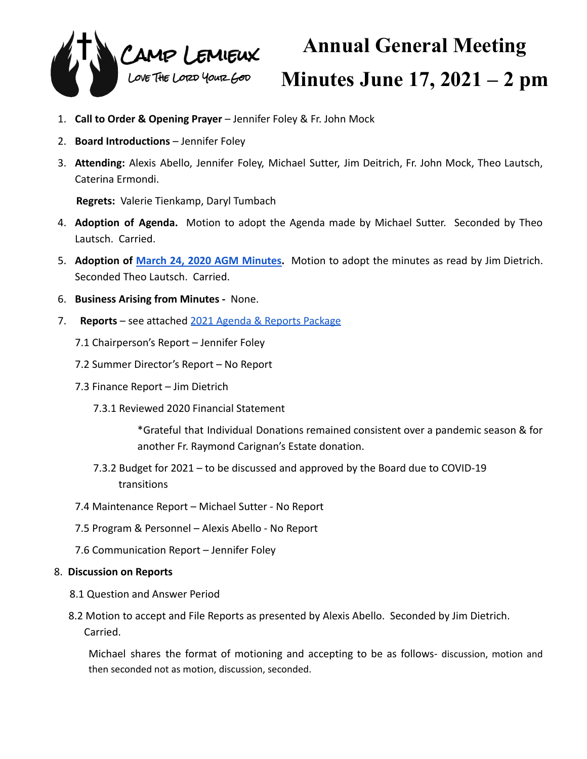

## **Annual General Meeting Minutes June 17, 2021 – 2 pm**

- 1. **Call to Order & Opening Prayer** Jennifer Foley & Fr. John Mock
- 2. **Board Introductions** Jennifer Foley
- 3. **Attending:** Alexis Abello, Jennifer Foley, Michael Sutter, Jim Deitrich, Fr. John Mock, Theo Lautsch, Caterina Ermondi.

**Regrets:** Valerie Tienkamp, Daryl Tumbach

- 4. **Adoption of Agenda.** Motion to adopt the Agenda made by Michael Sutter. Seconded by Theo Lautsch. Carried.
- 5. **Adoption of March 24, 2020 AGM [Minutes.](https://docs.google.com/document/d/1uTcaWBw_c26BSjrsN31ldTImTlrv-UlFgYuwlz2Op9E/edit?usp=sharing)** Motion to adopt the minutes as read by Jim Dietrich. Seconded Theo Lautsch. Carried.
- 6. **Business Arising from Minutes -** None.
- 7. **Reports** see attached [2021 Agenda & Reports Package](https://docs.google.com/document/d/16vXxh9rh7uwb6NHDfH7cdHHC9-7FFP2jgOB-6zlXsHo/edit?usp=sharing)
	- 7.1 Chairperson's Report Jennifer Foley
	- 7.2 Summer Director's Report No Report
	- 7.3 Finance Report Jim Dietrich
		- 7.3.1 Reviewed 2020 Financial Statement

\*Grateful that Individual Donations remained consistent over a pandemic season & for another Fr. Raymond Carignan's Estate donation.

- 7.3.2 Budget for 2021 to be discussed and approved by the Board due to COVID-19 transitions
- 7.4 Maintenance Report Michael Sutter No Report
- 7.5 Program & Personnel Alexis Abello No Report
- 7.6 Communication Report Jennifer Foley
- 8. **Discussion on Reports**
	- 8.1 Question and Answer Period
	- 8.2 Motion to accept and File Reports as presented by Alexis Abello. Seconded by Jim Dietrich. Carried.

Michael shares the format of motioning and accepting to be as follows- discussion, motion and then seconded not as motion, discussion, seconded.